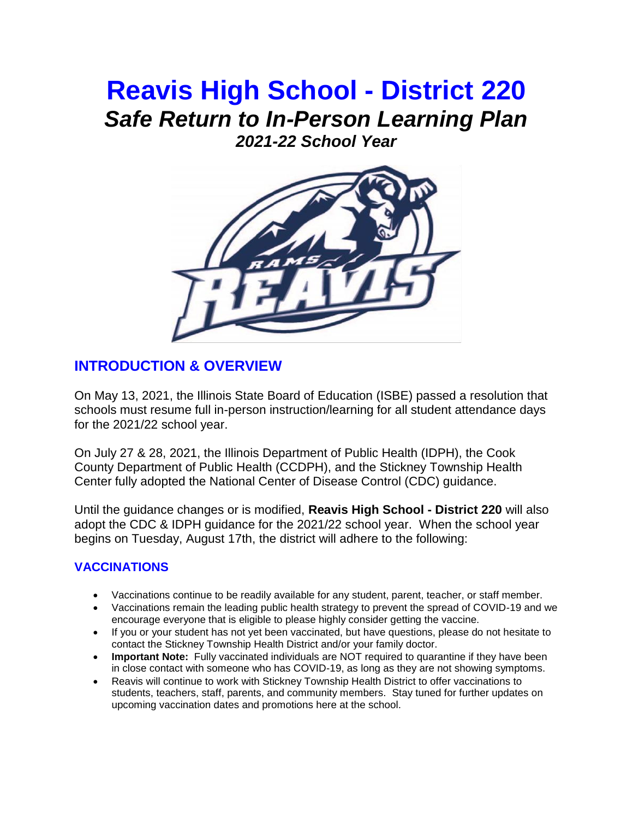# **Reavis High School - District 220** *Safe Return to In-Person Learning Plan 2021-22 School Year*

# **INTRODUCTION & OVERVIEW**

On May 13, 2021, the Illinois State Board of Education (ISBE) passed a resolution that schools must resume full in-person instruction/learning for all student attendance days for the 2021/22 school year.

On July 27 & 28, 2021, the Illinois Department of Public Health (IDPH), the Cook County Department of Public Health (CCDPH), and the Stickney Township Health Center fully adopted the National Center of Disease Control (CDC) guidance.

Until the guidance changes or is modified, **Reavis High School - District 220** will also adopt the CDC & IDPH guidance for the 2021/22 school year. When the school year begins on Tuesday, August 17th, the district will adhere to the following:

### **VACCINATIONS**

- Vaccinations continue to be readily available for any student, parent, teacher, or staff member.
- Vaccinations remain the leading public health strategy to prevent the spread of COVID-19 and we encourage everyone that is eligible to please highly consider getting the vaccine.
- If you or your student has not yet been vaccinated, but have questions, please do not hesitate to contact the Stickney Township Health District and/or your family doctor.
- **Important Note:** Fully vaccinated individuals are NOT required to quarantine if they have been in close contact with someone who has COVID-19, as long as they are not showing symptoms.
- Reavis will continue to work with Stickney Township Health District to offer vaccinations to students, teachers, staff, parents, and community members. Stay tuned for further updates on upcoming vaccination dates and promotions here at the school.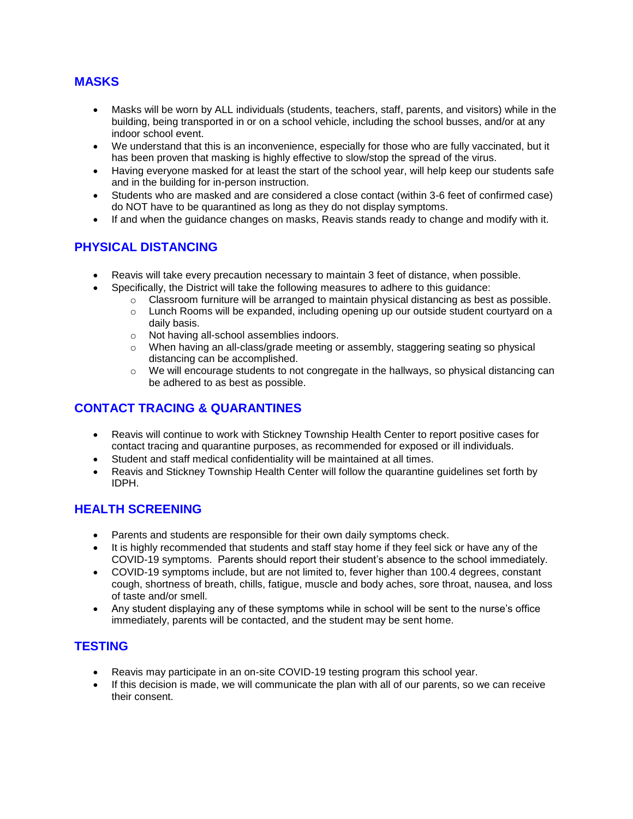#### **MASKS**

- Masks will be worn by ALL individuals (students, teachers, staff, parents, and visitors) while in the building, being transported in or on a school vehicle, including the school busses, and/or at any indoor school event.
- We understand that this is an inconvenience, especially for those who are fully vaccinated, but it has been proven that masking is highly effective to slow/stop the spread of the virus.
- Having everyone masked for at least the start of the school year, will help keep our students safe and in the building for in-person instruction.
- Students who are masked and are considered a close contact (within 3-6 feet of confirmed case) do NOT have to be quarantined as long as they do not display symptoms.
- If and when the guidance changes on masks, Reavis stands ready to change and modify with it.

### **PHYSICAL DISTANCING**

- Reavis will take every precaution necessary to maintain 3 feet of distance, when possible.
- Specifically, the District will take the following measures to adhere to this guidance:
	- $\circ$  Classroom furniture will be arranged to maintain physical distancing as best as possible.
		- o Lunch Rooms will be expanded, including opening up our outside student courtyard on a daily basis.
		- o Not having all-school assemblies indoors.
		- $\circ$  When having an all-class/grade meeting or assembly, staggering seating so physical distancing can be accomplished.
		- $\circ$  We will encourage students to not congregate in the hallways, so physical distancing can be adhered to as best as possible.

### **CONTACT TRACING & QUARANTINES**

- Reavis will continue to work with Stickney Township Health Center to report positive cases for contact tracing and quarantine purposes, as recommended for exposed or ill individuals.
- Student and staff medical confidentiality will be maintained at all times.
- Reavis and Stickney Township Health Center will follow the quarantine guidelines set forth by IDPH.

### **HEALTH SCREENING**

- Parents and students are responsible for their own daily symptoms check.
- It is highly recommended that students and staff stay home if they feel sick or have any of the COVID-19 symptoms. Parents should report their student's absence to the school immediately.
- COVID-19 symptoms include, but are not limited to, fever higher than 100.4 degrees, constant cough, shortness of breath, chills, fatigue, muscle and body aches, sore throat, nausea, and loss of taste and/or smell.
- Any student displaying any of these symptoms while in school will be sent to the nurse's office immediately, parents will be contacted, and the student may be sent home.

### **TESTING**

- Reavis may participate in an on-site COVID-19 testing program this school year.
- If this decision is made, we will communicate the plan with all of our parents, so we can receive their consent.